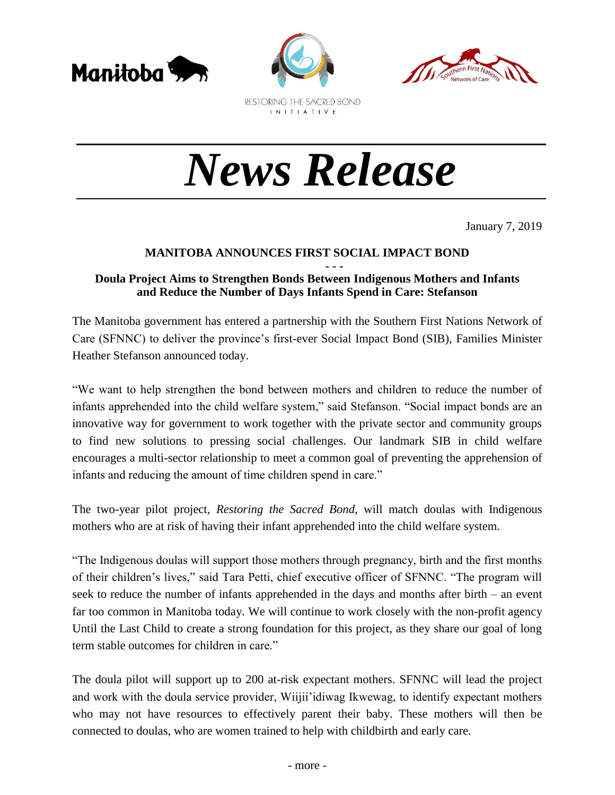





RESTORING THE SACRED BOND INITIATIVE

# *News Release*

January 7, 2019

## **MANITOBA ANNOUNCES FIRST SOCIAL IMPACT BOND**

#### **- - - Doula Project Aims to Strengthen Bonds Between Indigenous Mothers and Infants and Reduce the Number of Days Infants Spend in Care: Stefanson**

The Manitoba government has entered a partnership with the Southern First Nations Network of Care (SFNNC) to deliver the province's first-ever Social Impact Bond (SIB), Families Minister Heather Stefanson announced today.

"We want to help strengthen the bond between mothers and children to reduce the number of infants apprehended into the child welfare system," said Stefanson. "Social impact bonds are an innovative way for government to work together with the private sector and community groups to find new solutions to pressing social challenges. Our landmark SIB in child welfare encourages a multi-sector relationship to meet a common goal of preventing the apprehension of infants and reducing the amount of time children spend in care."

The two-year pilot project, *Restoring the Sacred Bond*, will match doulas with Indigenous mothers who are at risk of having their infant apprehended into the child welfare system.

"The Indigenous doulas will support those mothers through pregnancy, birth and the first months of their children's lives," said Tara Petti, chief executive officer of SFNNC. "The program will seek to reduce the number of infants apprehended in the days and months after birth – an event far too common in Manitoba today. We will continue to work closely with the non-profit agency Until the Last Child to create a strong foundation for this project, as they share our goal of long term stable outcomes for children in care."

The doula pilot will support up to 200 at-risk expectant mothers. SFNNC will lead the project and work with the doula service provider, Wiijii'idiwag Ikwewag, to identify expectant mothers who may not have resources to effectively parent their baby. These mothers will then be connected to doulas, who are women trained to help with childbirth and early care.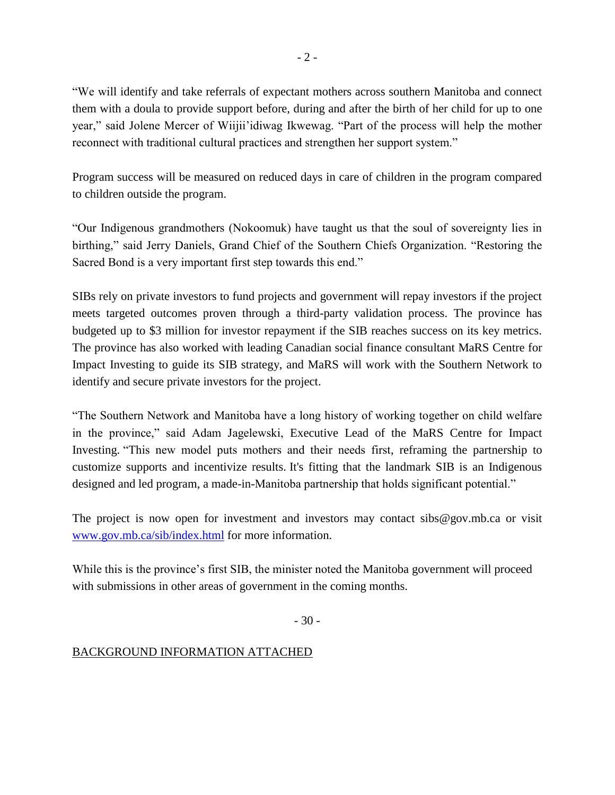"We will identify and take referrals of expectant mothers across southern Manitoba and connect them with a doula to provide support before, during and after the birth of her child for up to one year," said Jolene Mercer of Wiijii'idiwag Ikwewag. "Part of the process will help the mother reconnect with traditional cultural practices and strengthen her support system."

Program success will be measured on reduced days in care of children in the program compared to children outside the program.

"Our Indigenous grandmothers (Nokoomuk) have taught us that the soul of sovereignty lies in birthing," said Jerry Daniels, Grand Chief of the Southern Chiefs Organization. "Restoring the Sacred Bond is a very important first step towards this end."

SIBs rely on private investors to fund projects and government will repay investors if the project meets targeted outcomes proven through a third-party validation process. The province has budgeted up to \$3 million for investor repayment if the SIB reaches success on its key metrics. The province has also worked with leading Canadian social finance consultant MaRS Centre for Impact Investing to guide its SIB strategy, and MaRS will work with the Southern Network to identify and secure private investors for the project.

"The Southern Network and Manitoba have a long history of working together on child welfare in the province," said Adam Jagelewski, Executive Lead of the MaRS Centre for Impact Investing. "This new model puts mothers and their needs first, reframing the partnership to customize supports and incentivize results. It's fitting that the landmark SIB is an Indigenous designed and led program, a made-in-Manitoba partnership that holds significant potential."

The project is now open for investment and investors may contact sibs@gov.mb.ca or visit [www.gov.mb.ca/sib/index.html](http://www.gov.mb.ca/sib/index.html) for more information.

While this is the province's first SIB, the minister noted the Manitoba government will proceed with submissions in other areas of government in the coming months.

- 30 -

## BACKGROUND INFORMATION ATTACHED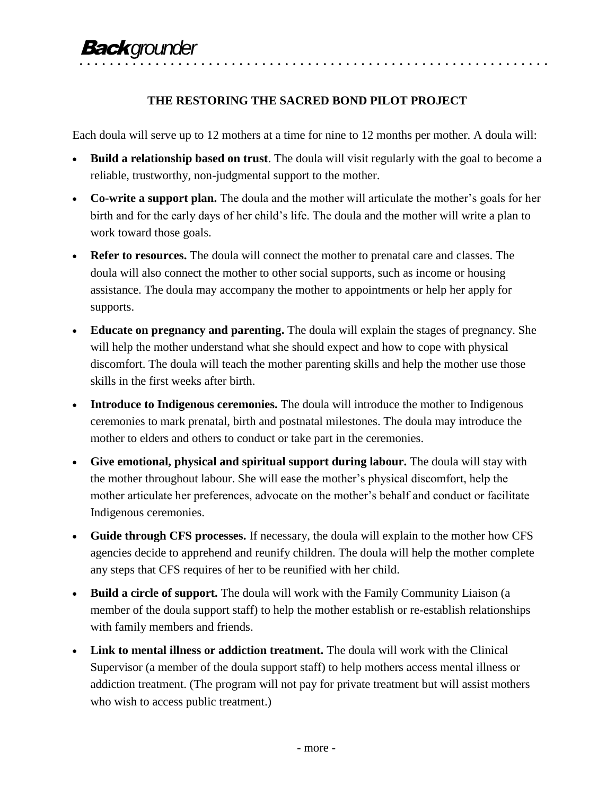## **THE RESTORING THE SACRED BOND PILOT PROJECT**

• • • • • • • • • • • • • • • • • • • • • • • • • • • • • • • • • • • • • • • • • • • • • • • • • • • • • • • • • • • • • •

Each doula will serve up to 12 mothers at a time for nine to 12 months per mother. A doula will:

- **Build a relationship based on trust**. The doula will visit regularly with the goal to become a reliable, trustworthy, non-judgmental support to the mother.
- **Co-write a support plan.** The doula and the mother will articulate the mother's goals for her birth and for the early days of her child's life. The doula and the mother will write a plan to work toward those goals.
- **Refer to resources.** The doula will connect the mother to prenatal care and classes. The doula will also connect the mother to other social supports, such as income or housing assistance. The doula may accompany the mother to appointments or help her apply for supports.
- **Educate on pregnancy and parenting.** The doula will explain the stages of pregnancy. She will help the mother understand what she should expect and how to cope with physical discomfort. The doula will teach the mother parenting skills and help the mother use those skills in the first weeks after birth.
- **Introduce to Indigenous ceremonies.** The doula will introduce the mother to Indigenous ceremonies to mark prenatal, birth and postnatal milestones. The doula may introduce the mother to elders and others to conduct or take part in the ceremonies.
- **Give emotional, physical and spiritual support during labour.** The doula will stay with the mother throughout labour. She will ease the mother's physical discomfort, help the mother articulate her preferences, advocate on the mother's behalf and conduct or facilitate Indigenous ceremonies.
- **Guide through CFS processes.** If necessary, the doula will explain to the mother how CFS agencies decide to apprehend and reunify children. The doula will help the mother complete any steps that CFS requires of her to be reunified with her child.
- **Build a circle of support.** The doula will work with the Family Community Liaison (a member of the doula support staff) to help the mother establish or re-establish relationships with family members and friends.
- Link to mental illness or addiction treatment. The doula will work with the Clinical Supervisor (a member of the doula support staff) to help mothers access mental illness or addiction treatment. (The program will not pay for private treatment but will assist mothers who wish to access public treatment.)